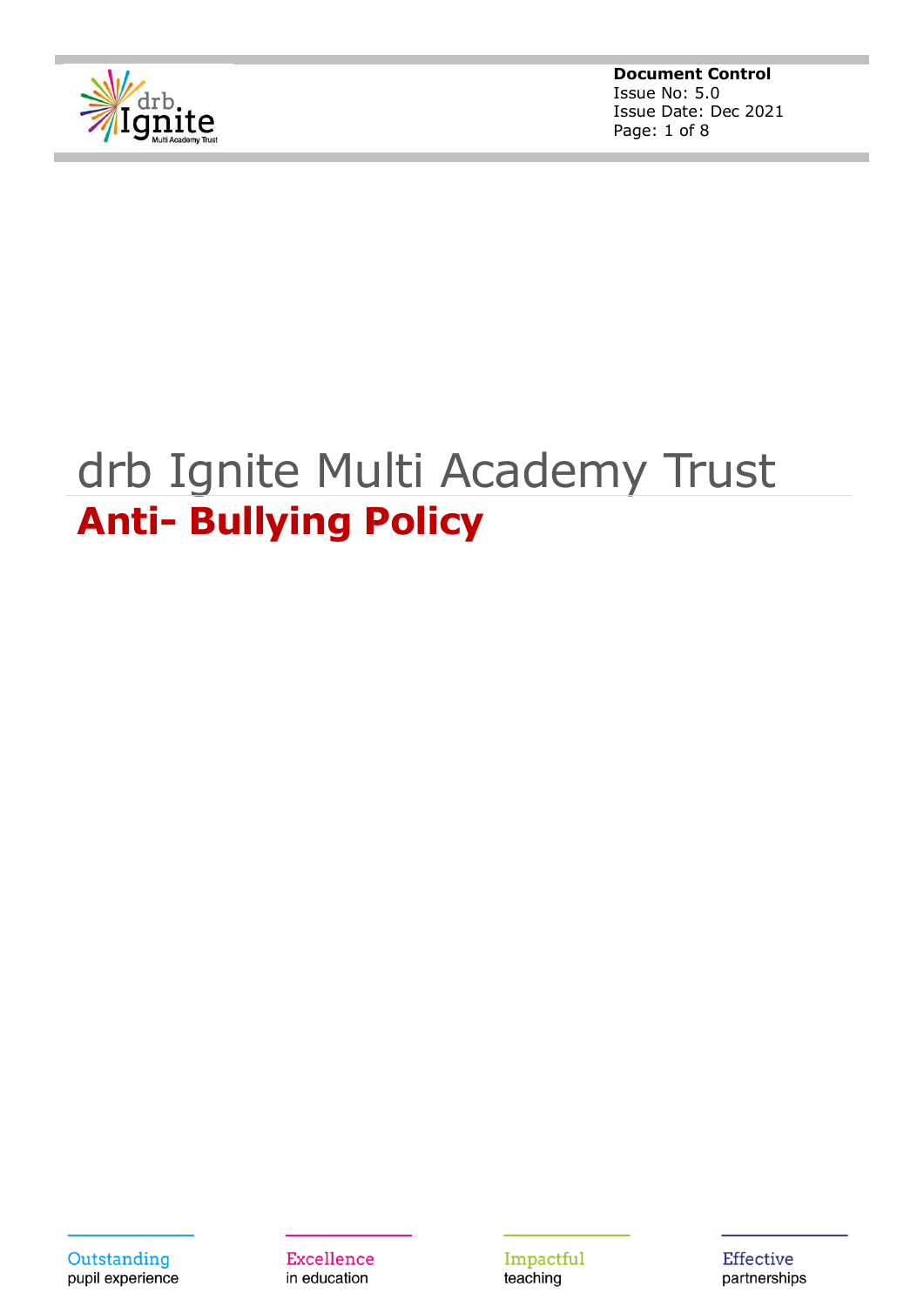

**Document Control** Issue No: 5.0 Issue Date: Dec 2021 Page: 1 of 8

# drb Ignite Multi Academy Trust **Anti- Bullying Policy**

Outstanding pupil experience

Excellence in education

Impactful teaching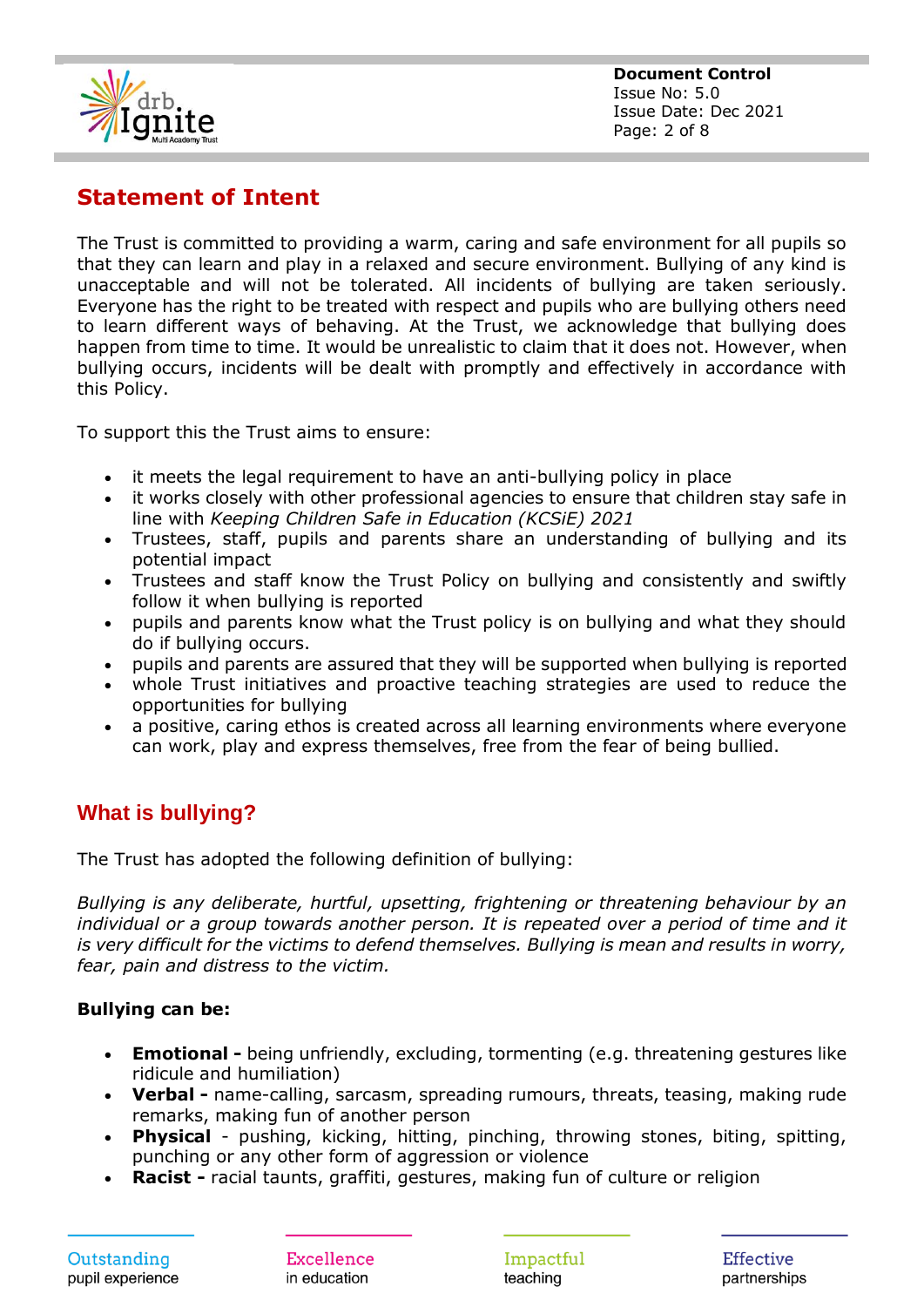

## **Statement of Intent**

The Trust is committed to providing a warm, caring and safe environment for all pupils so that they can learn and play in a relaxed and secure environment. Bullying of any kind is unacceptable and will not be tolerated. All incidents of bullying are taken seriously. Everyone has the right to be treated with respect and pupils who are bullying others need to learn different ways of behaving. At the Trust, we acknowledge that bullying does happen from time to time. It would be unrealistic to claim that it does not. However, when bullying occurs, incidents will be dealt with promptly and effectively in accordance with this Policy.

To support this the Trust aims to ensure:

- it meets the legal requirement to have an anti-bullying policy in place
- it works closely with other professional agencies to ensure that children stay safe in line with *Keeping Children Safe in Education (KCSiE) 2021*
- Trustees, staff, pupils and parents share an understanding of bullying and its potential impact
- Trustees and staff know the Trust Policy on bullying and consistently and swiftly follow it when bullying is reported
- pupils and parents know what the Trust policy is on bullying and what they should do if bullying occurs.
- pupils and parents are assured that they will be supported when bullying is reported
- whole Trust initiatives and proactive teaching strategies are used to reduce the opportunities for bullying
- a positive, caring ethos is created across all learning environments where everyone can work, play and express themselves, free from the fear of being bullied.

### **What is bullying?**

The Trust has adopted the following definition of bullying:

*Bullying is any deliberate, hurtful, upsetting, frightening or threatening behaviour by an*  individual or a group towards another person. It is repeated over a period of time and it *is very difficult for the victims to defend themselves. Bullying is mean and results in worry, fear, pain and distress to the victim.*

#### **Bullying can be:**

- **Emotional -** being unfriendly, excluding, tormenting (e.g. threatening gestures like ridicule and humiliation)
- **Verbal -** name-calling, sarcasm, spreading rumours, threats, teasing, making rude remarks, making fun of another person
- **Physical** pushing, kicking, hitting, pinching, throwing stones, biting, spitting, punching or any other form of aggression or violence
- **Racist -** racial taunts, graffiti, gestures, making fun of culture or religion

Excellence in education

Impactful teaching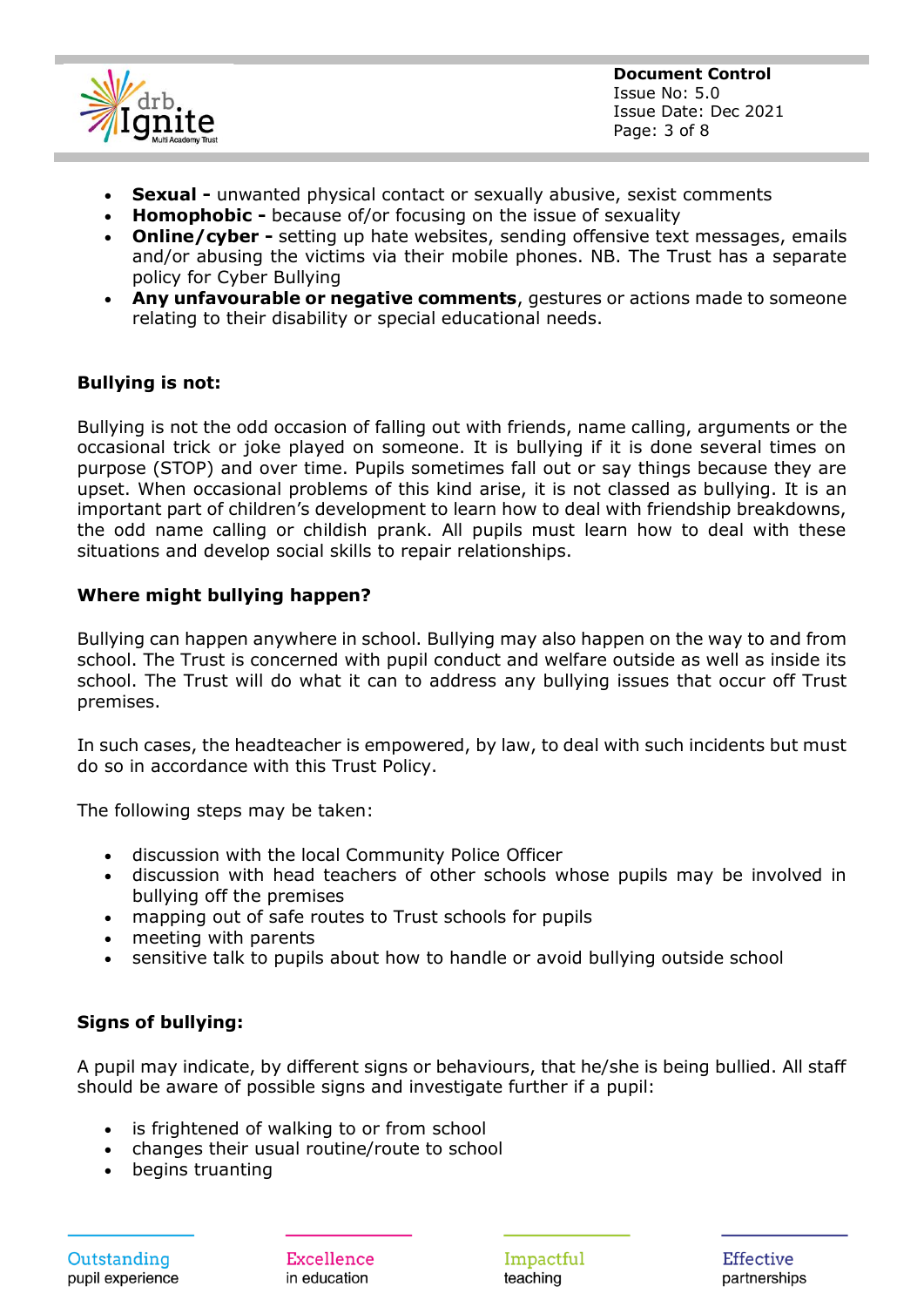

**Document Control** Issue No: 5.0 Issue Date: Dec 2021 Page: 3 of 8

- **Sexual -** unwanted physical contact or sexually abusive, sexist comments
- **Homophobic -** because of/or focusing on the issue of sexuality
- **Online/cyber -** setting up hate websites, sending offensive text messages, emails and/or abusing the victims via their mobile phones. NB. The Trust has a separate policy for Cyber Bullying
- **Any unfavourable or negative comments**, gestures or actions made to someone relating to their disability or special educational needs.

#### **Bullying is not:**

Bullying is not the odd occasion of falling out with friends, name calling, arguments or the occasional trick or joke played on someone. It is bullying if it is done several times on purpose (STOP) and over time. Pupils sometimes fall out or say things because they are upset. When occasional problems of this kind arise, it is not classed as bullying. It is an important part of children's development to learn how to deal with friendship breakdowns, the odd name calling or childish prank. All pupils must learn how to deal with these situations and develop social skills to repair relationships.

#### **Where might bullying happen?**

Bullying can happen anywhere in school. Bullying may also happen on the way to and from school. The Trust is concerned with pupil conduct and welfare outside as well as inside its school. The Trust will do what it can to address any bullying issues that occur off Trust premises.

In such cases, the headteacher is empowered, by law, to deal with such incidents but must do so in accordance with this Trust Policy.

The following steps may be taken:

- discussion with the local Community Police Officer
- discussion with head teachers of other schools whose pupils may be involved in bullying off the premises
- mapping out of safe routes to Trust schools for pupils
- meeting with parents
- sensitive talk to pupils about how to handle or avoid bullying outside school

#### **Signs of bullying:**

A pupil may indicate, by different signs or behaviours, that he/she is being bullied. All staff should be aware of possible signs and investigate further if a pupil:

- is frightened of walking to or from school
- changes their usual routine/route to school
- begins truanting

Excellence in education

Impactful teaching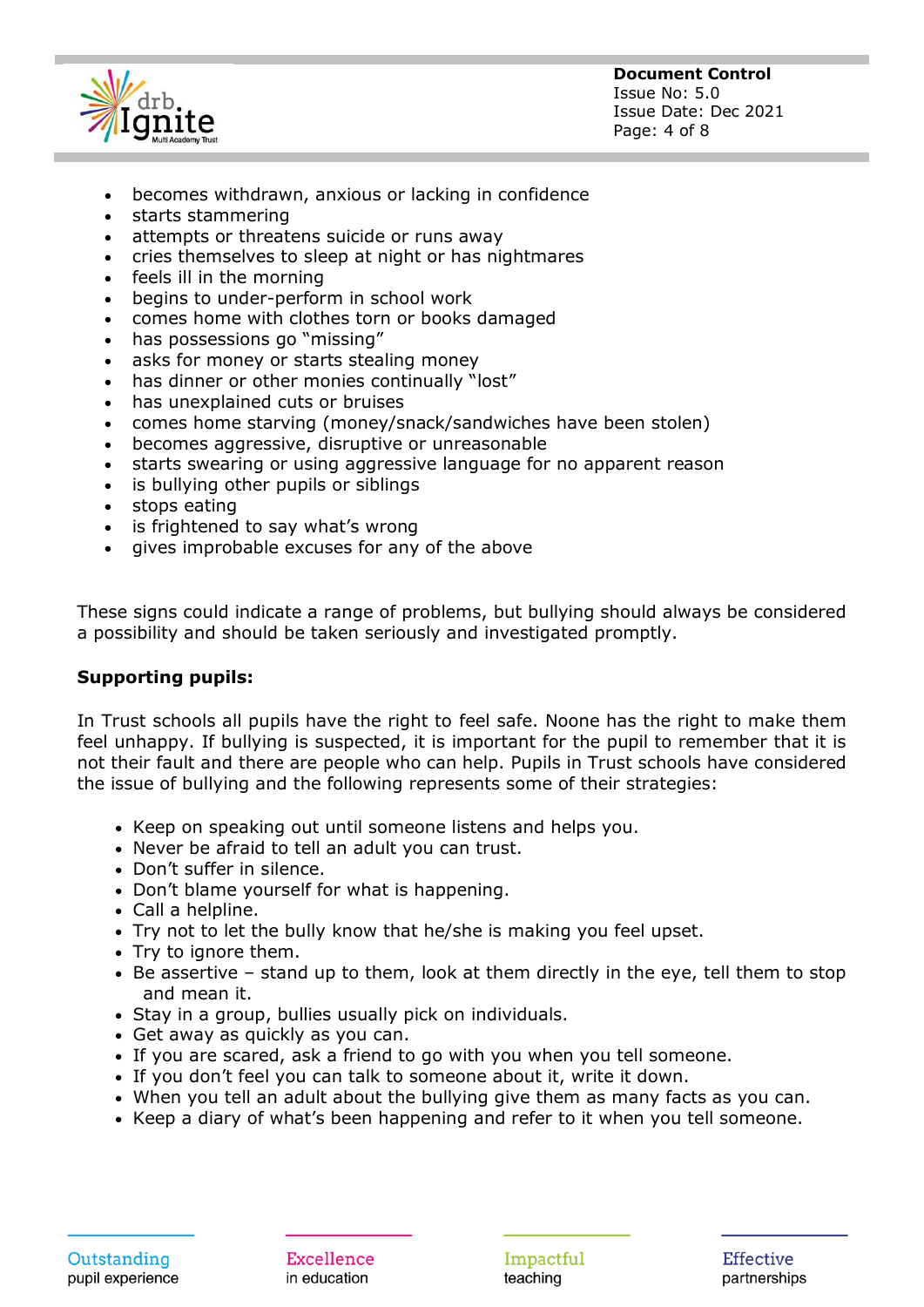

**Document Control** Issue No: 5.0 Issue Date: Dec 2021 Page: 4 of 8

- becomes withdrawn, anxious or lacking in confidence
- starts stammering
- attempts or threatens suicide or runs away
- cries themselves to sleep at night or has nightmares
- feels ill in the morning
- begins to under-perform in school work
- comes home with clothes torn or books damaged
- has possessions go "missing"
- asks for money or starts stealing money
- has dinner or other monies continually "lost"
- has unexplained cuts or bruises
- comes home starving (money/snack/sandwiches have been stolen)
- becomes aggressive, disruptive or unreasonable
- starts swearing or using aggressive language for no apparent reason
- is bullying other pupils or siblings
- stops eating
- is frightened to say what's wrong
- gives improbable excuses for any of the above

These signs could indicate a range of problems, but bullying should always be considered a possibility and should be taken seriously and investigated promptly.

#### **Supporting pupils:**

In Trust schools all pupils have the right to feel safe. Noone has the right to make them feel unhappy. If bullying is suspected, it is important for the pupil to remember that it is not their fault and there are people who can help. Pupils in Trust schools have considered the issue of bullying and the following represents some of their strategies:

- Keep on speaking out until someone listens and helps you.
- Never be afraid to tell an adult you can trust.
- Don't suffer in silence.
- Don't blame yourself for what is happening.
- Call a helpline.
- Try not to let the bully know that he/she is making you feel upset.
- Try to ignore them.
- Be assertive stand up to them, look at them directly in the eye, tell them to stop and mean it.
- Stay in a group, bullies usually pick on individuals.
- Get away as quickly as you can.
- If you are scared, ask a friend to go with you when you tell someone.
- If you don't feel you can talk to someone about it, write it down.
- When you tell an adult about the bullying give them as many facts as you can.
- Keep a diary of what's been happening and refer to it when you tell someone.

Excellence in education

Impactful teaching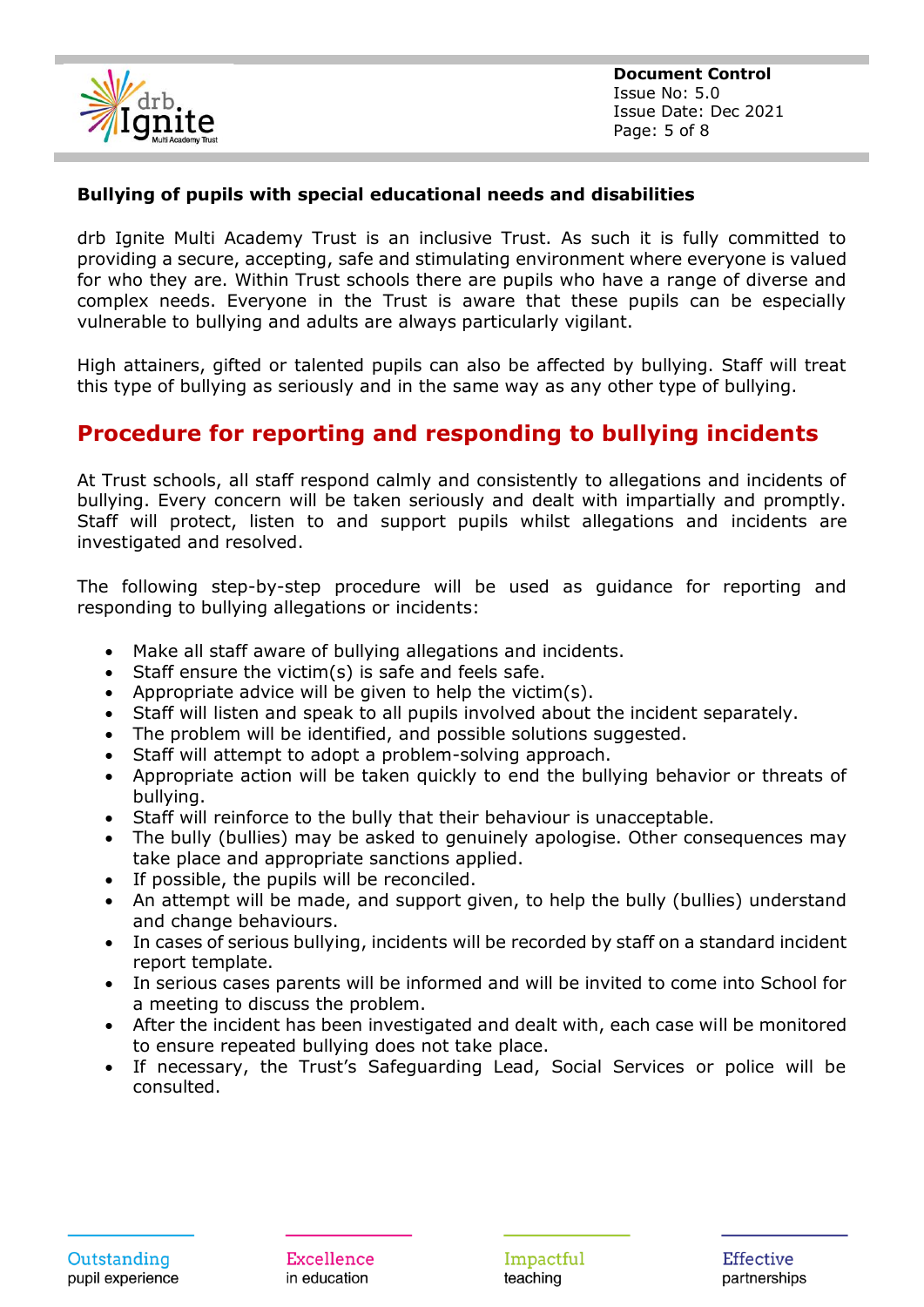

#### **Bullying of pupils with special educational needs and disabilities**

drb Ignite Multi Academy Trust is an inclusive Trust. As such it is fully committed to providing a secure, accepting, safe and stimulating environment where everyone is valued for who they are. Within Trust schools there are pupils who have a range of diverse and complex needs. Everyone in the Trust is aware that these pupils can be especially vulnerable to bullying and adults are always particularly vigilant.

High attainers, gifted or talented pupils can also be affected by bullying. Staff will treat this type of bullying as seriously and in the same way as any other type of bullying.

## **Procedure for reporting and responding to bullying incidents**

At Trust schools, all staff respond calmly and consistently to allegations and incidents of bullying. Every concern will be taken seriously and dealt with impartially and promptly. Staff will protect, listen to and support pupils whilst allegations and incidents are investigated and resolved.

The following step-by-step procedure will be used as guidance for reporting and responding to bullying allegations or incidents:

- Make all staff aware of bullying allegations and incidents.
- Staff ensure the victim(s) is safe and feels safe.
- Appropriate advice will be given to help the victim(s).
- Staff will listen and speak to all pupils involved about the incident separately.
- The problem will be identified, and possible solutions suggested.
- Staff will attempt to adopt a problem-solving approach.
- Appropriate action will be taken quickly to end the bullying behavior or threats of bullying.
- Staff will reinforce to the bully that their behaviour is unacceptable.
- The bully (bullies) may be asked to genuinely apologise. Other consequences may take place and appropriate sanctions applied.
- If possible, the pupils will be reconciled.
- An attempt will be made, and support given, to help the bully (bullies) understand and change behaviours.
- In cases of serious bullying, incidents will be recorded by staff on a standard incident report template.
- In serious cases parents will be informed and will be invited to come into School for a meeting to discuss the problem.
- After the incident has been investigated and dealt with, each case will be monitored to ensure repeated bullying does not take place.
- If necessary, the Trust's Safeguarding Lead, Social Services or police will be consulted.

Excellence in education

Impactful teaching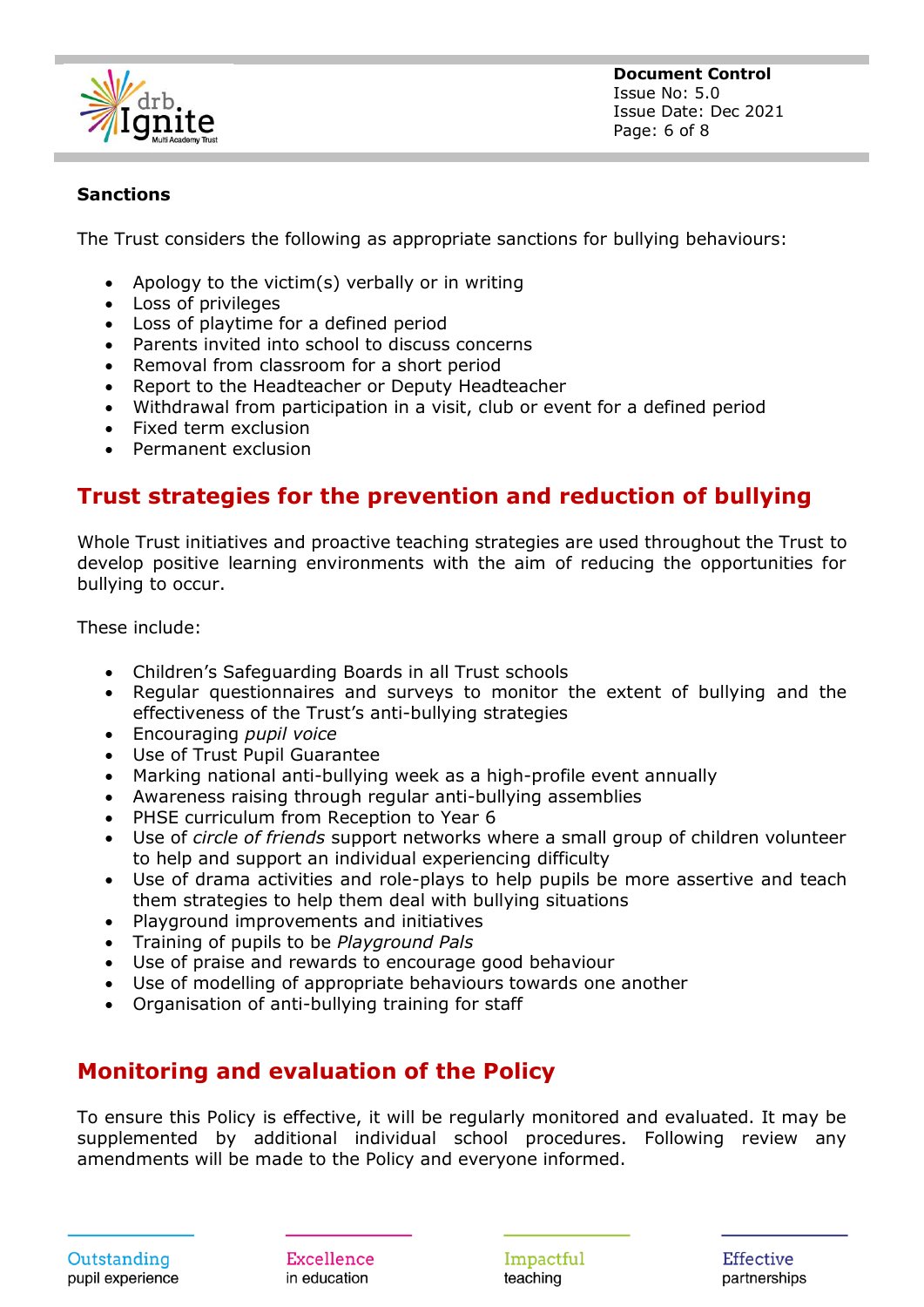

**Document Control** Issue No: 5.0 Issue Date: Dec 2021 Page: 6 of 8

#### **Sanctions**

The Trust considers the following as appropriate sanctions for bullying behaviours:

- Apology to the victim(s) verbally or in writing
- Loss of privileges
- Loss of playtime for a defined period
- Parents invited into school to discuss concerns
- Removal from classroom for a short period
- Report to the Headteacher or Deputy Headteacher
- Withdrawal from participation in a visit, club or event for a defined period
- Fixed term exclusion
- Permanent exclusion

## **Trust strategies for the prevention and reduction of bullying**

Whole Trust initiatives and proactive teaching strategies are used throughout the Trust to develop positive learning environments with the aim of reducing the opportunities for bullying to occur.

These include:

- Children's Safeguarding Boards in all Trust schools
- Regular questionnaires and surveys to monitor the extent of bullying and the effectiveness of the Trust's anti-bullying strategies
- Encouraging *pupil voice*
- Use of Trust Pupil Guarantee
- Marking national anti-bullying week as a high-profile event annually
- Awareness raising through regular anti-bullying assemblies
- PHSE curriculum from Reception to Year 6
- Use of *circle of friends* support networks where a small group of children volunteer to help and support an individual experiencing difficulty
- Use of drama activities and role-plays to help pupils be more assertive and teach them strategies to help them deal with bullying situations
- Playground improvements and initiatives
- Training of pupils to be *Playground Pals*
- Use of praise and rewards to encourage good behaviour
- Use of modelling of appropriate behaviours towards one another
- Organisation of anti-bullying training for staff

## **Monitoring and evaluation of the Policy**

To ensure this Policy is effective, it will be regularly monitored and evaluated. It may be supplemented by additional individual school procedures. Following review any amendments will be made to the Policy and everyone informed.

Excellence in education

Impactful teaching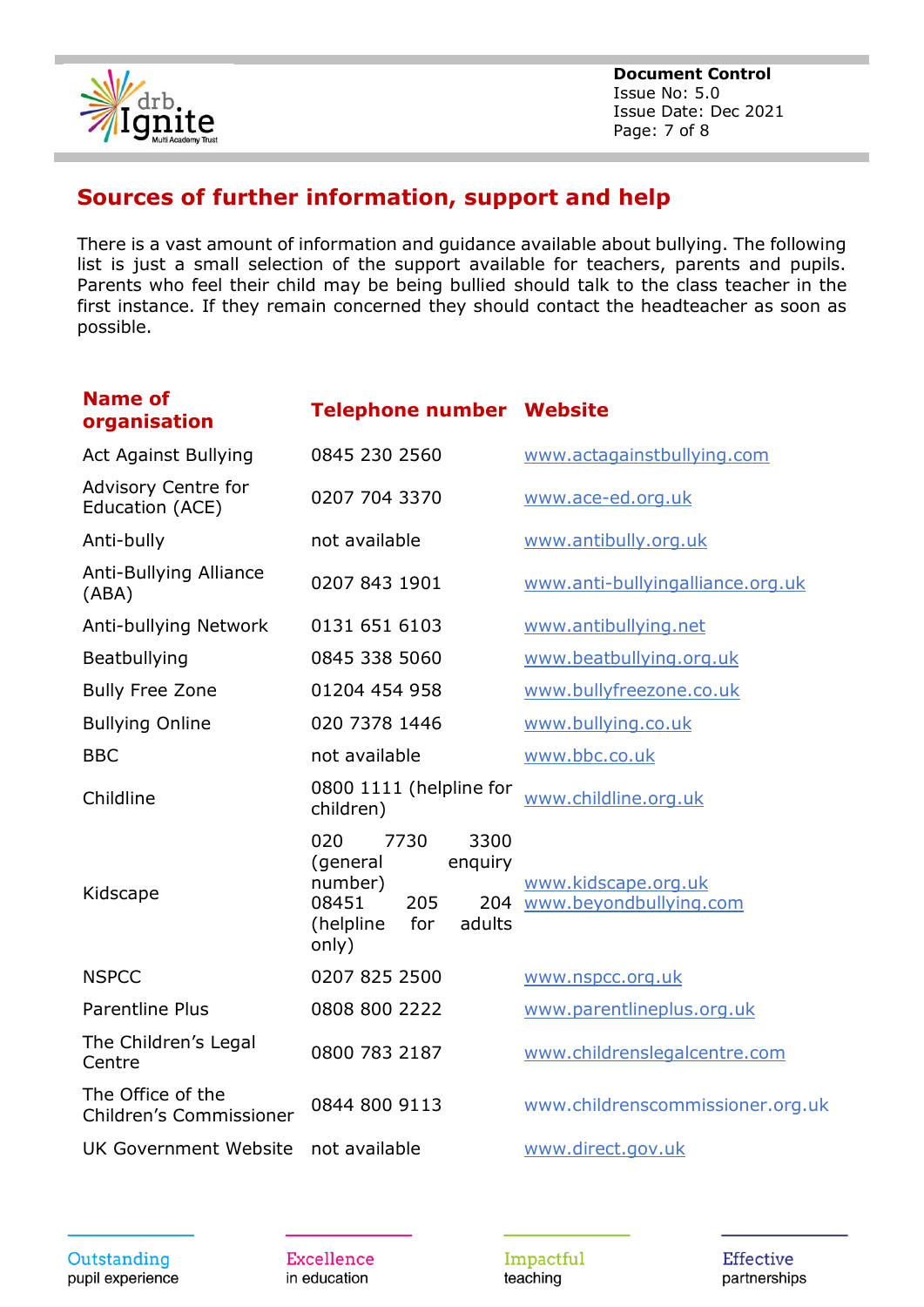

**Document Control** Issue No: 5.0 Issue Date: Dec 2021 Page: 7 of 8

## **Sources of further information, support and help**

There is a vast amount of information and guidance available about bullying. The following list is just a small selection of the support available for teachers, parents and pupils. Parents who feel their child may be being bullied should talk to the class teacher in the first instance. If they remain concerned they should contact the headteacher as soon as possible.

| <b>Name of</b><br>organisation                | <b>Telephone number Website</b>                                                                               |                                                   |  |
|-----------------------------------------------|---------------------------------------------------------------------------------------------------------------|---------------------------------------------------|--|
| <b>Act Against Bullying</b>                   | 0845 230 2560                                                                                                 | www.actagainstbullying.com                        |  |
| <b>Advisory Centre for</b><br>Education (ACE) | 0207 704 3370                                                                                                 | www.ace-ed.org.uk                                 |  |
| Anti-bully                                    | not available                                                                                                 | www.antibully.org.uk                              |  |
| <b>Anti-Bullying Alliance</b><br>(ABA)        | 0207 843 1901                                                                                                 | www.anti-bullyingalliance.org.uk                  |  |
| Anti-bullying Network                         | 0131 651 6103                                                                                                 | www.antibullying.net                              |  |
| Beatbullying                                  | 0845 338 5060                                                                                                 | www.beatbullying.org.uk                           |  |
| <b>Bully Free Zone</b>                        | 01204 454 958                                                                                                 | www.bullyfreezone.co.uk                           |  |
| <b>Bullying Online</b>                        | 020 7378 1446                                                                                                 | www.bullying.co.uk                                |  |
| <b>BBC</b>                                    | not available                                                                                                 | www.bbc.co.uk                                     |  |
| Childline                                     | 0800 1111 (helpline for<br>children)                                                                          | www.childline.org.uk                              |  |
| Kidscape                                      | 020<br>7730<br>3300<br>(general<br>enquiry<br>number)<br>08451<br>205<br>(helpline)<br>for<br>adults<br>only) | www.kidscape.org.uk<br>204 www.beyondbullying.com |  |
| <b>NSPCC</b>                                  | 0207 825 2500                                                                                                 | www.nspcc.org.uk                                  |  |
| <b>Parentline Plus</b>                        | 0808 800 2222                                                                                                 | www.parentlineplus.org.uk                         |  |
| The Children's Legal<br>Centre                | 0800 783 2187                                                                                                 | www.childrenslegalcentre.com                      |  |
| The Office of the<br>Children's Commissioner  | 0844 800 9113                                                                                                 | www.childrenscommissioner.org.uk                  |  |
| UK Government Website                         | not available                                                                                                 | www.direct.gov.uk                                 |  |
|                                               |                                                                                                               |                                                   |  |

**Excellence** in education

Impactful teaching